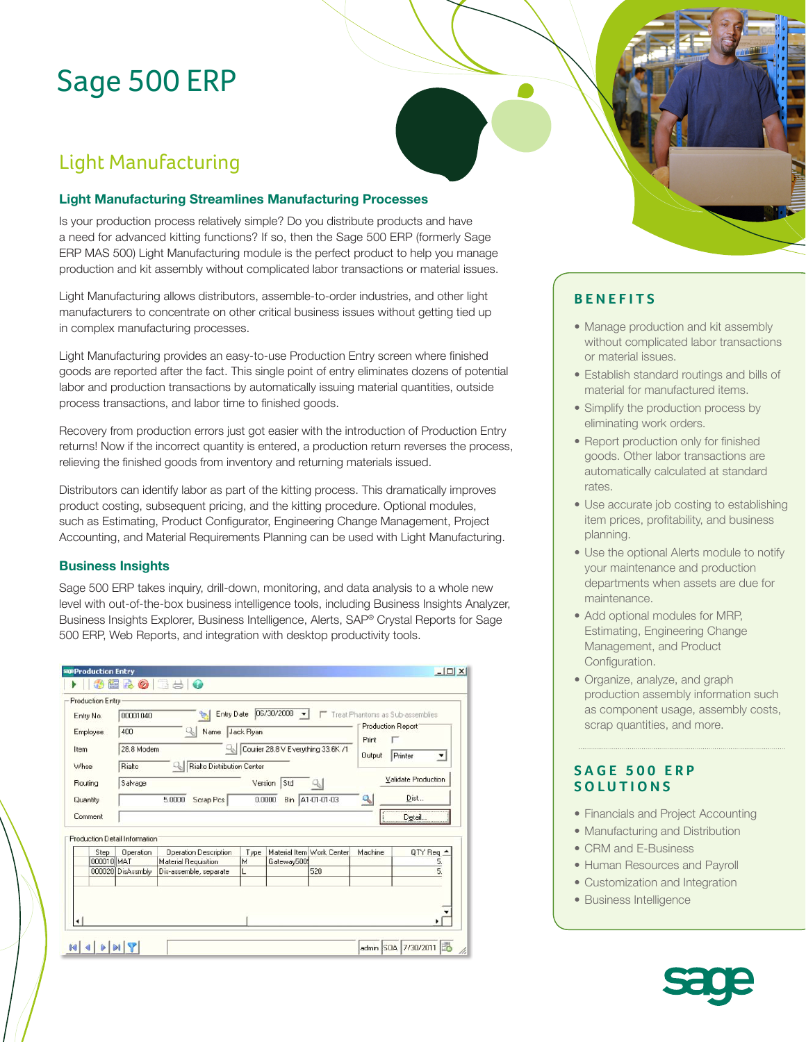# Sage 500 ERP

# Light Manufacturing

#### **Light Manufacturing Streamlines Manufacturing Processes**

Is your production process relatively simple? Do you distribute products and have a need for advanced kitting functions? If so, then the Sage 500 ERP (formerly Sage ERP MAS 500) Light Manufacturing module is the perfect product to help you manage production and kit assembly without complicated labor transactions or material issues.

Light Manufacturing allows distributors, assemble-to-order industries, and other light manufacturers to concentrate on other critical business issues without getting tied up in complex manufacturing processes.

Light Manufacturing provides an easy-to-use Production Entry screen where finished goods are reported after the fact. This single point of entry eliminates dozens of potential labor and production transactions by automatically issuing material quantities, outside process transactions, and labor time to finished goods.

Recovery from production errors just got easier with the introduction of Production Entry returns! Now if the incorrect quantity is entered, a production return reverses the process, relieving the finished goods from inventory and returning materials issued.

Distributors can identify labor as part of the kitting process. This dramatically improves product costing, subsequent pricing, and the kitting procedure. Optional modules, such as Estimating, Product Configurator, Engineering Change Management, Project Accounting, and Material Requirements Planning can be used with Light Manufacturing.

#### **Business Insights**

Sage 500 ERP takes inquiry, drill-down, monitoring, and data analysis to a whole new level with out-of-the-box business intelligence tools, including Business Insights Analyzer, Business Insights Explorer, Business Intelligence, Alerts, SAP® Crystal Reports for Sage 500 ERP, Web Reports, and integration with desktop productivity tools.

|            | Production Entry                                                                              |                              |                                    |               |                           |                            |                     |
|------------|-----------------------------------------------------------------------------------------------|------------------------------|------------------------------------|---------------|---------------------------|----------------------------|---------------------|
| Entry No.  | 06/30/2008<br>Entry Date<br>Treat Phantoms as Sub-assemblies<br>$\mathbf{v}$<br>00001040<br>₻ |                              |                                    |               |                           |                            |                     |
| Employee   | 400<br>Jack Ryan<br>41<br>Name                                                                |                              |                                    |               |                           | <b>Production Report</b>   |                     |
|            |                                                                                               |                              | Courier 28.8 V Everything 33.6K /1 |               |                           | Print                      |                     |
| Item       | 28.8 Modem                                                                                    |                              |                                    |               |                           | <b>Output</b>              | Printer<br>۰        |
| Whse       | Rialto Distribution Center<br>Rialto                                                          |                              |                                    |               |                           |                            |                     |
| Routing    | Salvage                                                                                       |                              | Version                            | Std           | q,                        |                            | Validate Production |
|            |                                                                                               |                              |                                    |               |                           |                            |                     |
| Quantity   |                                                                                               | 5.0000<br>Scrap Pcs          |                                    | 0.0000<br>Bin | A1-01-01-03               | $\mathcal{L}_{\mathbf{c}}$ | Dist                |
| Comment    |                                                                                               |                              |                                    |               |                           |                            | Detail              |
|            |                                                                                               |                              |                                    |               |                           |                            |                     |
|            | Production Detail Information                                                                 |                              |                                    |               |                           |                            |                     |
| Step       | Operation                                                                                     | <b>Operation Description</b> | Type                               |               | Material Item Work Center | Machine                    | QTY Req $\triangle$ |
| 000010 MAT |                                                                                               | <b>Material Requisition</b>  | M                                  | Gateway500    |                           |                            | 5.                  |
|            | 000020 DisAssmbly                                                                             | Dis-assemble, separate       |                                    |               | 520                       |                            | $\overline{5}$      |
|            |                                                                                               |                              |                                    |               |                           |                            |                     |
|            |                                                                                               |                              |                                    |               |                           |                            |                     |
|            |                                                                                               |                              |                                    |               |                           |                            |                     |
|            |                                                                                               |                              |                                    |               |                           |                            |                     |

### **BENEFITS**

- Manage production and kit assembly without complicated labor transactions or material issues.
- Establish standard routings and bills of material for manufactured items.
- Simplify the production process by eliminating work orders.
- Report production only for finished goods. Other labor transactions are automatically calculated at standard rates.
- Use accurate job costing to establishing item prices, profitability, and business planning.
- Use the optional Alerts module to notify your maintenance and production departments when assets are due for maintenance.
- Add optional modules for MRP, Estimating, Engineering Change Management, and Product Configuration.
- Organize, analyze, and graph production assembly information such as component usage, assembly costs, scrap quantities, and more.

### **SAGE 500 ERP SOLUTIONS**

- Financials and Project Accounting
- Manufacturing and Distribution
- CRM and E-Business
- Human Resources and Payroll
- Customization and Integration
- Business Intelligence